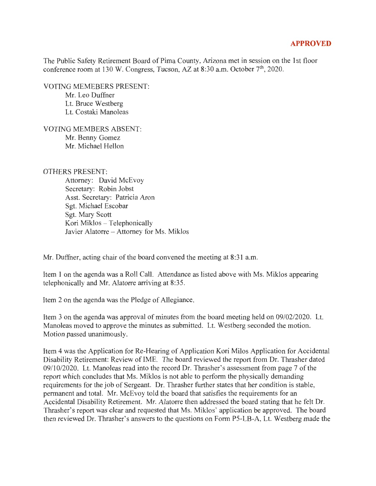## **APPROVED**

The Public Safety Retirement Board of Pima County, Arizona met in session on the 1st floor conference room at 130 W. Congress, Tucson, AZ at 8:30 a.m. October 7<sup>th</sup>, 2020.

VOTING MEMEBERS PRESENT:

Mr. Leo Duffner Lt. Bruce Westberg Lt. Costaki Manoleas

VOTING MEMBERS ABSENT: Mr. Benny Gomez Mr. Michael Hellon

## OTHERS PRESENT:

Attorney: David McEvoy Secretary: Robin Jobst Asst. Secretary: Patricia Aron Sgt. Michael Escobar Sgt. Mary Scott Kori Miklos - Telephonically Javier Alatorre - Attorney for Ms. Miklos

Mr. Duffner, acting chair of the board convened the meeting at 8:31 a.m.

Item 1 on the agenda was a Roll Call. Attendance as listed above with Ms. Miklos appearing telephonically and Mr. Alatorre arriving at 8:35.

Item 2 on the agenda was the Pledge of Allegiance.

Item 3 on the agenda was approval of minutes from the board meeting held on 09/02/2020. Lt. Manoleas moved to approve the minutes as submitted. Lt. Westberg seconded the motion. Motion passed unanimously.

Item 4 was the Application for Re-Hearing of Application Kori Milos Application for Accidental Disability Retirement: Review of IME. The board reviewed the report from Dr. Thrasher dated 09/10/2020. Lt. Manoleas read into the record Dr. Thrasher's assessment from page 7 of the report which concludes that Ms. Miklos is not able to perform the physically demanding requirements for the job of Sergeant. Dr. Thrasher further states that her condition is stable, permanent and total. Mr. McEvoy told the board that satisfies the requirements for an Accidental Disability Retirement. Mr. Alatorre then addressed the board stating that he felt Dr. Thrasher's report was clear and requested that Ms. Miklos' application be approved. The board then reviewed Dr. Thrasher's answers to the questions on Form P5-LB-A, Lt. Westberg made the